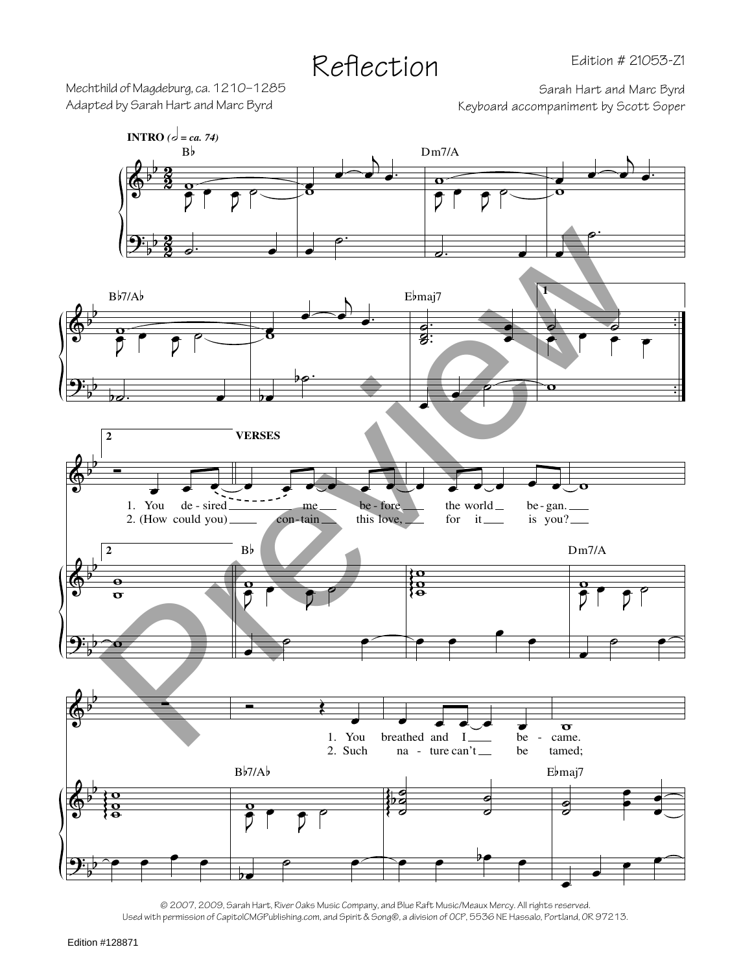Mechthild of Magdeburg, ca. 1210–1285<br>Adapted by Sarah Hart and Marc Byrd<br>Keyboard accompaniment by Scott Soper

Keyboard accompaniment by Scott Soper



<sup>© 2007, 2009,</sup> Sarah Hart, River Oaks Music Company, and Blue Raft Music/Meaux Mercy. All rights reserved. Used with permission of CapitolCMGPublishing.com, and Spirit & Song®, a division of OCP, 5536 NE Hassalo, Portland, OR 97213.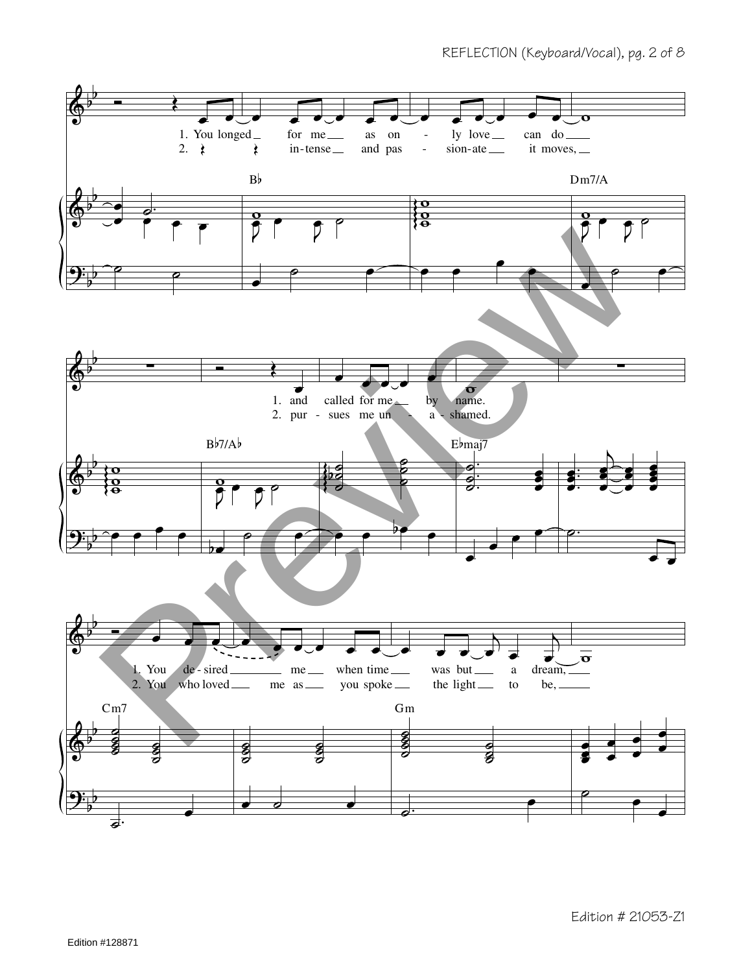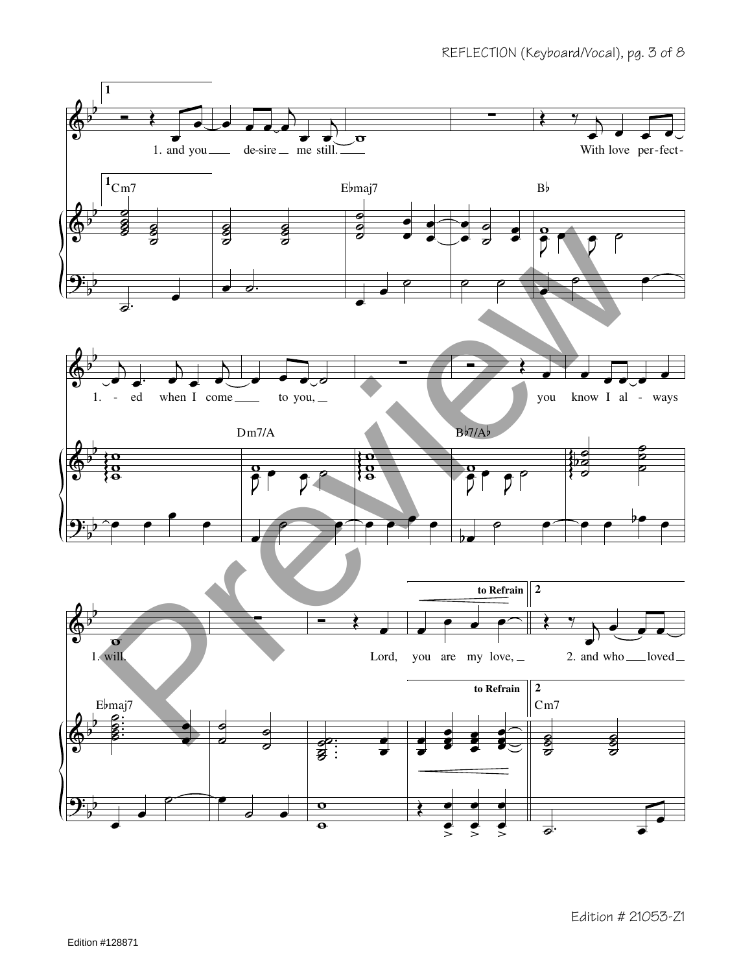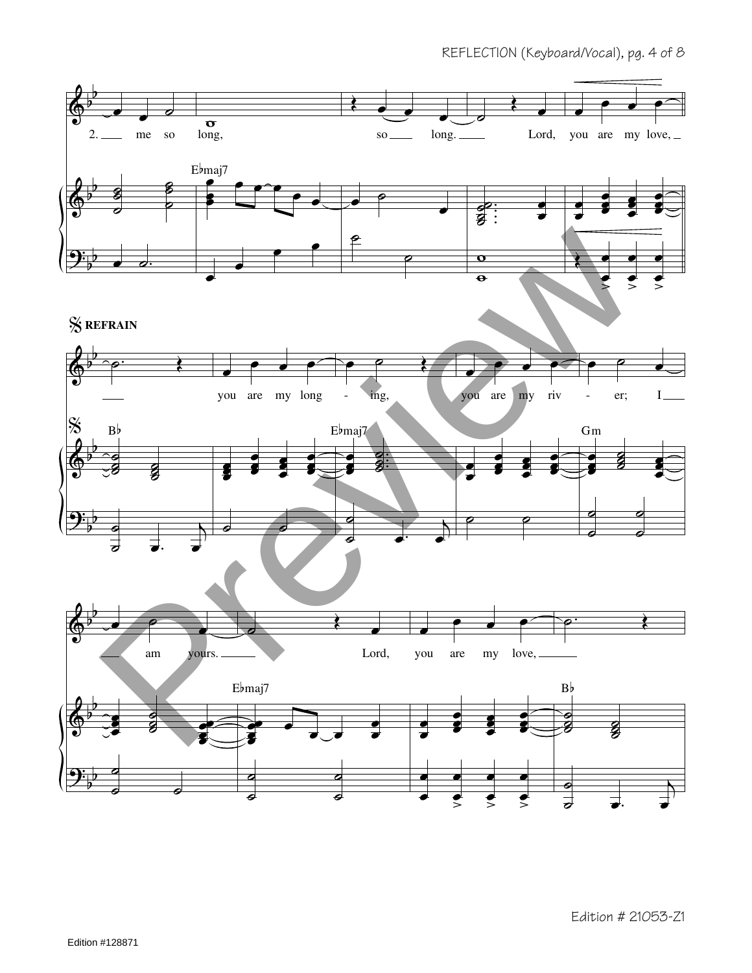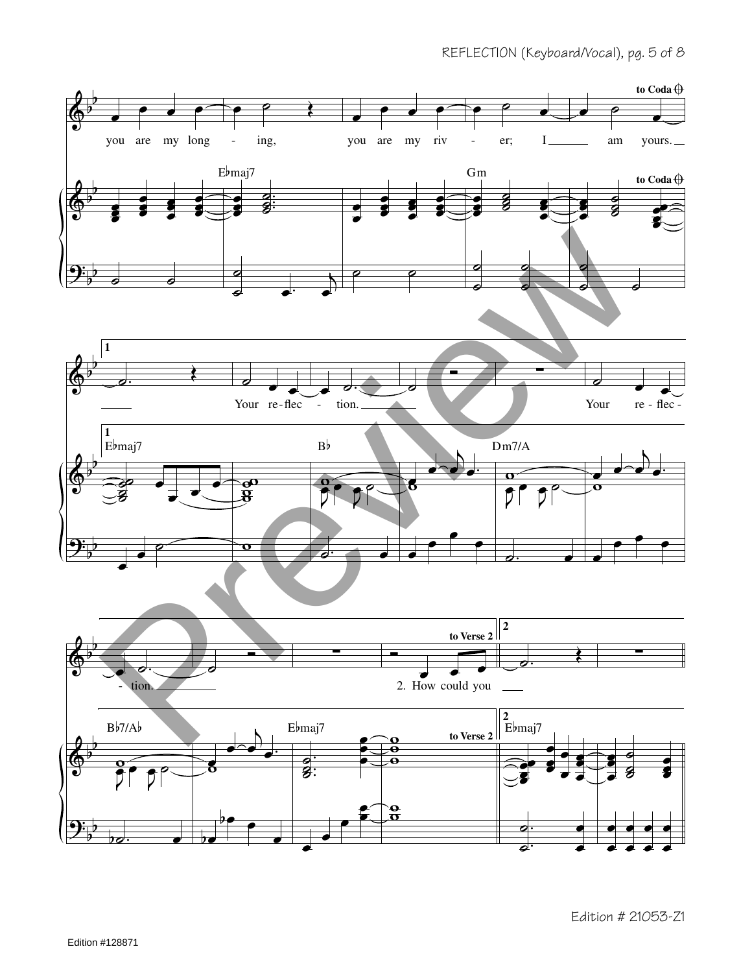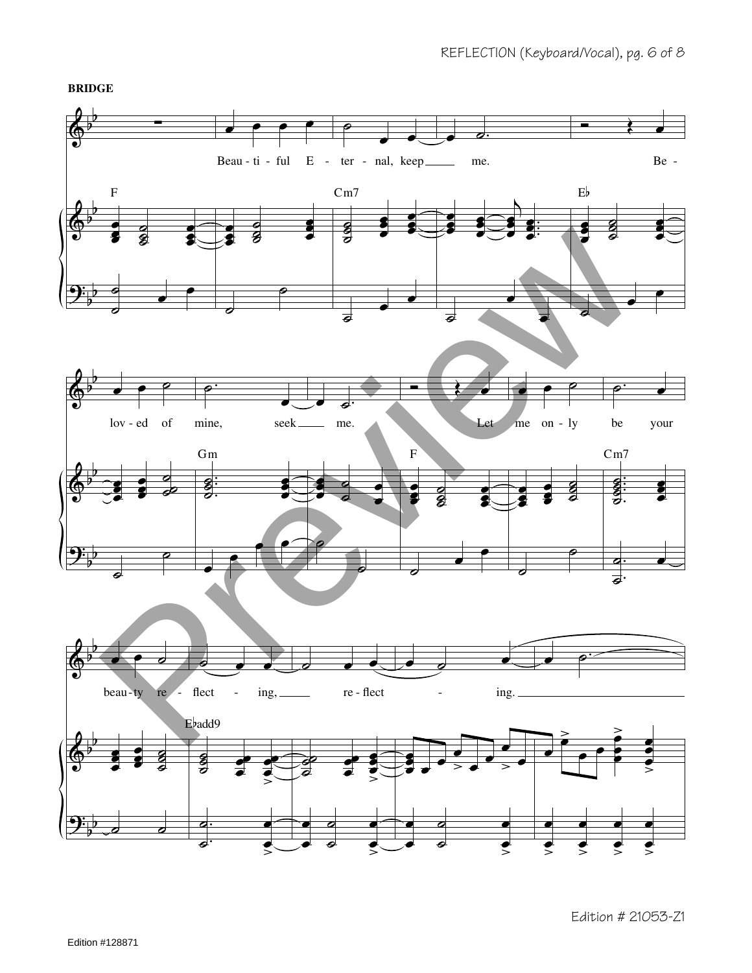**BRIDGE**



Edition # 21053-Z1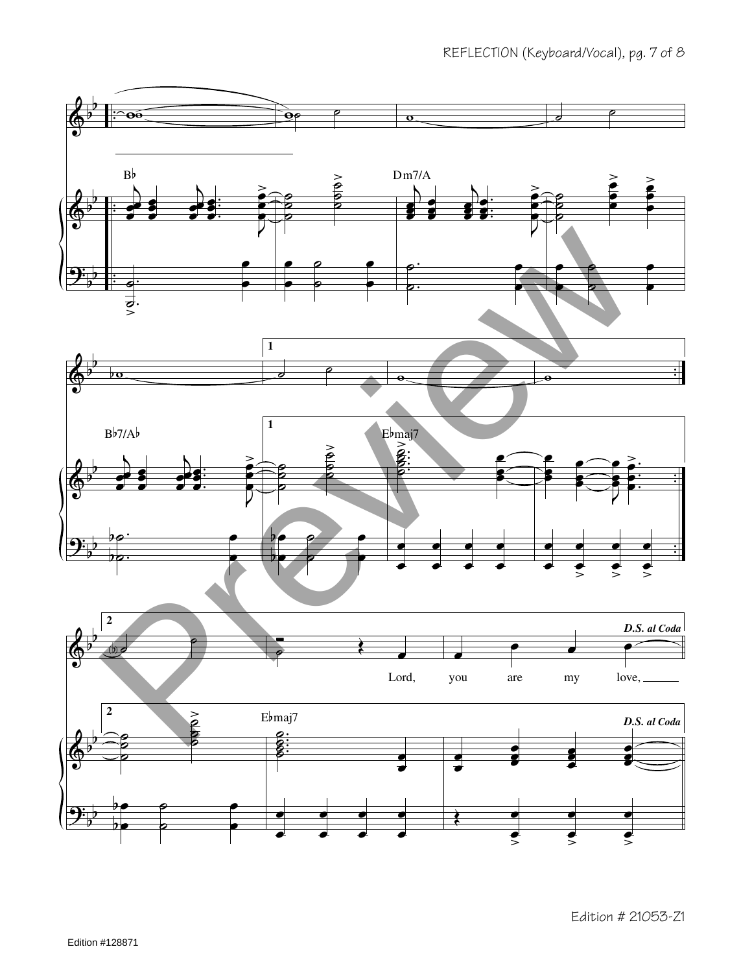

Edition # 21053-Z1